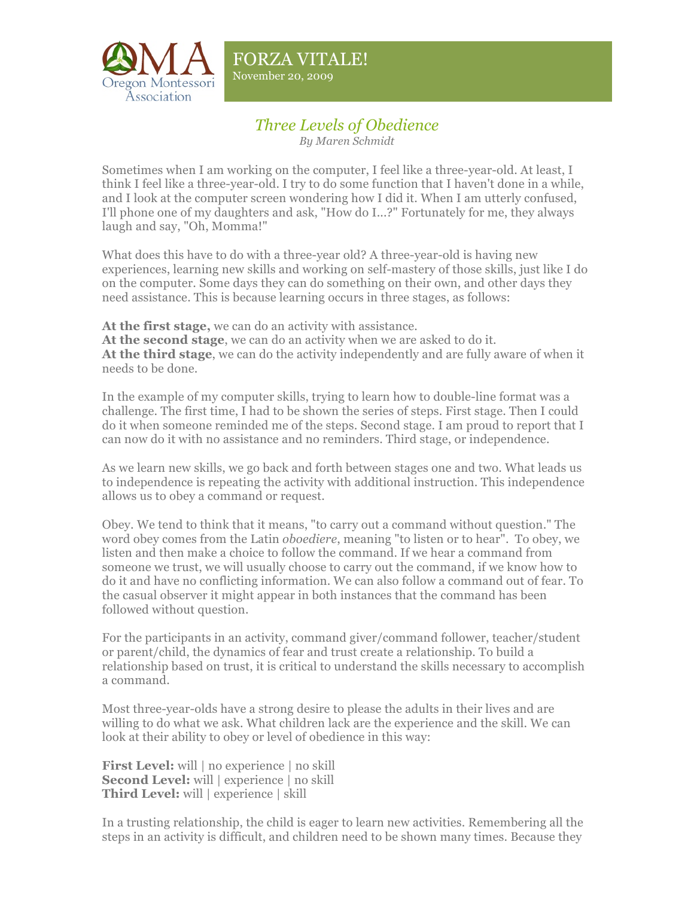

November 20, 2009

## *Three Levels of Obedience*

*By Maren Schmidt*

Sometimes when I am working on the computer, I feel like a three-year-old. At least, I think I feel like a three-year-old. I try to do some function that I haven't done in a while, and I look at the computer screen wondering how I did it. When I am utterly confused, I'll phone one of my daughters and ask, "How do I...?" Fortunately for me, they always laugh and say, "Oh, Momma!"

What does this have to do with a three-year old? A three-year-old is having new experiences, learning new skills and working on self-mastery of those skills, just like I do on the computer. Some days they can do something on their own, and other days they need assistance. This is because learning occurs in three stages, as follows:

**At the first stage,** we can do an activity with assistance.

**At the second stage**, we can do an activity when we are asked to do it.

**At the third stage**, we can do the activity independently and are fully aware of when it needs to be done.

In the example of my computer skills, trying to learn how to double-line format was a challenge. The first time, I had to be shown the series of steps. First stage. Then I could do it when someone reminded me of the steps. Second stage. I am proud to report that I can now do it with no assistance and no reminders. Third stage, or independence.

As we learn new skills, we go back and forth between stages one and two. What leads us to independence is repeating the activity with additional instruction. This independence allows us to obey a command or request.

Obey. We tend to think that it means, "to carry out a command without question." The word obey comes from the Latin *oboediere*, meaning "to listen or to hear". To obey, we listen and then make a choice to follow the command. If we hear a command from someone we trust, we will usually choose to carry out the command, if we know how to do it and have no conflicting information. We can also follow a command out of fear. To the casual observer it might appear in both instances that the command has been followed without question.

For the participants in an activity, command giver/command follower, teacher/student or parent/child, the dynamics of fear and trust create a relationship. To build a relationship based on trust, it is critical to understand the skills necessary to accomplish a command.

Most three-year-olds have a strong desire to please the adults in their lives and are willing to do what we ask. What children lack are the experience and the skill. We can look at their ability to obey or level of obedience in this way:

**First Level:** will | no experience | no skill **Second Level:** will | experience | no skill **Third Level:** will | experience | skill

In a trusting relationship, the child is eager to learn new activities. Remembering all the steps in an activity is difficult, and children need to be shown many times. Because they